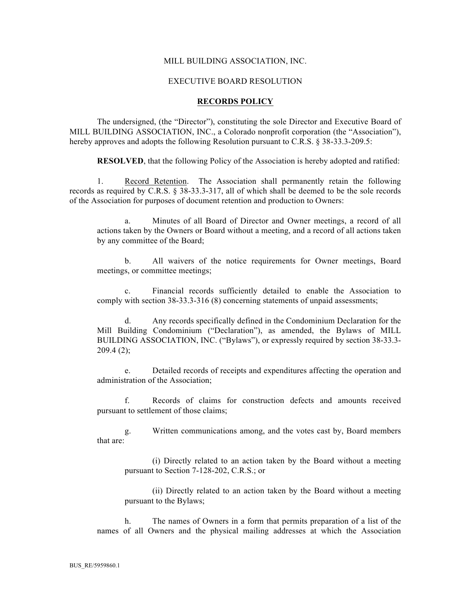## MILL BUILDING ASSOCIATION, INC.

### EXECUTIVE BOARD RESOLUTION

#### **RECORDS POLICY**

The undersigned, (the "Director"), constituting the sole Director and Executive Board of MILL BUILDING ASSOCIATION, INC., a Colorado nonprofit corporation (the "Association"), hereby approves and adopts the following Resolution pursuant to C.R.S. § 38-33.3-209.5:

**RESOLVED**, that the following Policy of the Association is hereby adopted and ratified:

1. Record Retention. The Association shall permanently retain the following records as required by C.R.S. § 38-33.3-317, all of which shall be deemed to be the sole records of the Association for purposes of document retention and production to Owners:

a. Minutes of all Board of Director and Owner meetings, a record of all actions taken by the Owners or Board without a meeting, and a record of all actions taken by any committee of the Board;

b. All waivers of the notice requirements for Owner meetings, Board meetings, or committee meetings;

c. Financial records sufficiently detailed to enable the Association to comply with section 38-33.3-316 (8) concerning statements of unpaid assessments;

d. Any records specifically defined in the Condominium Declaration for the Mill Building Condominium ("Declaration"), as amended, the Bylaws of MILL BUILDING ASSOCIATION, INC. ("Bylaws"), or expressly required by section 38-33.3-  $209.4(2)$ ;

e. Detailed records of receipts and expenditures affecting the operation and administration of the Association;

f. Records of claims for construction defects and amounts received pursuant to settlement of those claims;

g. Written communications among, and the votes cast by, Board members that are:

(i) Directly related to an action taken by the Board without a meeting pursuant to Section 7-128-202, C.R.S.; or

(ii) Directly related to an action taken by the Board without a meeting pursuant to the Bylaws;

h. The names of Owners in a form that permits preparation of a list of the names of all Owners and the physical mailing addresses at which the Association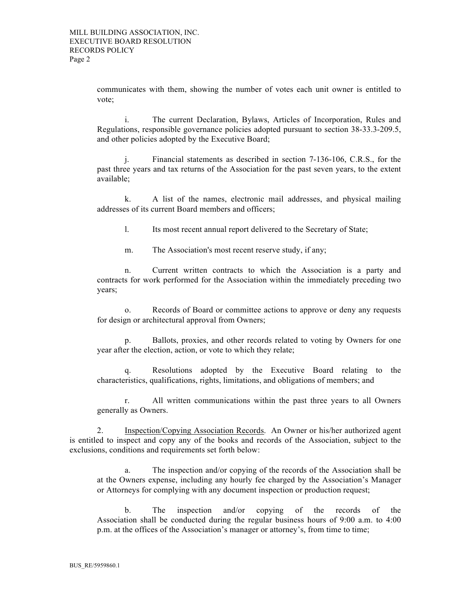communicates with them, showing the number of votes each unit owner is entitled to vote;

i. The current Declaration, Bylaws, Articles of Incorporation, Rules and Regulations, responsible governance policies adopted pursuant to section 38-33.3-209.5, and other policies adopted by the Executive Board;

j. Financial statements as described in section 7-136-106, C.R.S., for the past three years and tax returns of the Association for the past seven years, to the extent available;

k. A list of the names, electronic mail addresses, and physical mailing addresses of its current Board members and officers;

l. Its most recent annual report delivered to the Secretary of State;

m. The Association's most recent reserve study, if any;

n. Current written contracts to which the Association is a party and contracts for work performed for the Association within the immediately preceding two years;

o. Records of Board or committee actions to approve or deny any requests for design or architectural approval from Owners;

p. Ballots, proxies, and other records related to voting by Owners for one year after the election, action, or vote to which they relate;

q. Resolutions adopted by the Executive Board relating to the characteristics, qualifications, rights, limitations, and obligations of members; and

r. All written communications within the past three years to all Owners generally as Owners.

2. Inspection/Copying Association Records. An Owner or his/her authorized agent is entitled to inspect and copy any of the books and records of the Association, subject to the exclusions, conditions and requirements set forth below:

a. The inspection and/or copying of the records of the Association shall be at the Owners expense, including any hourly fee charged by the Association's Manager or Attorneys for complying with any document inspection or production request;

b. The inspection and/or copying of the records of the Association shall be conducted during the regular business hours of 9:00 a.m. to 4:00 p.m. at the offices of the Association's manager or attorney's, from time to time;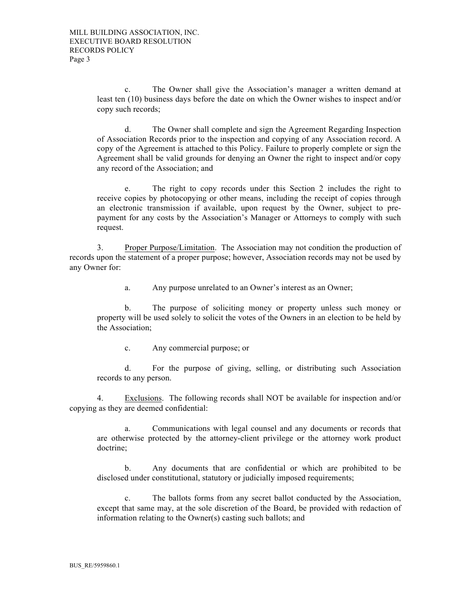c. The Owner shall give the Association's manager a written demand at least ten (10) business days before the date on which the Owner wishes to inspect and/or copy such records;

d. The Owner shall complete and sign the Agreement Regarding Inspection of Association Records prior to the inspection and copying of any Association record. A copy of the Agreement is attached to this Policy. Failure to properly complete or sign the Agreement shall be valid grounds for denying an Owner the right to inspect and/or copy any record of the Association; and

e. The right to copy records under this Section 2 includes the right to receive copies by photocopying or other means, including the receipt of copies through an electronic transmission if available, upon request by the Owner, subject to prepayment for any costs by the Association's Manager or Attorneys to comply with such request.

3. Proper Purpose/Limitation. The Association may not condition the production of records upon the statement of a proper purpose; however, Association records may not be used by any Owner for:

a. Any purpose unrelated to an Owner's interest as an Owner;

b. The purpose of soliciting money or property unless such money or property will be used solely to solicit the votes of the Owners in an election to be held by the Association;

c. Any commercial purpose; or

d. For the purpose of giving, selling, or distributing such Association records to any person.

4. Exclusions. The following records shall NOT be available for inspection and/or copying as they are deemed confidential:

a. Communications with legal counsel and any documents or records that are otherwise protected by the attorney-client privilege or the attorney work product doctrine;

b. Any documents that are confidential or which are prohibited to be disclosed under constitutional, statutory or judicially imposed requirements;

c. The ballots forms from any secret ballot conducted by the Association, except that same may, at the sole discretion of the Board, be provided with redaction of information relating to the Owner(s) casting such ballots; and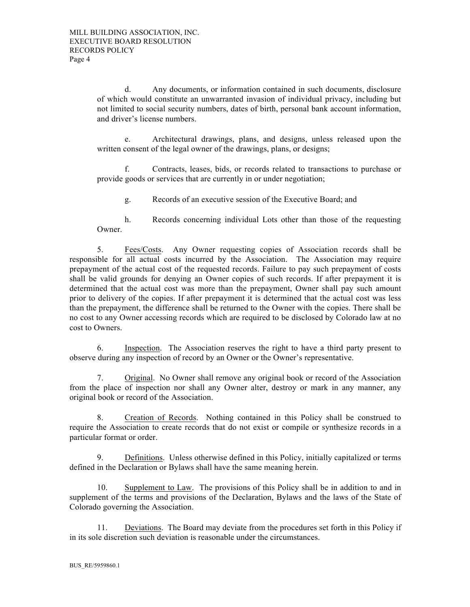d. Any documents, or information contained in such documents, disclosure of which would constitute an unwarranted invasion of individual privacy, including but not limited to social security numbers, dates of birth, personal bank account information, and driver's license numbers.

e. Architectural drawings, plans, and designs, unless released upon the written consent of the legal owner of the drawings, plans, or designs;

f. Contracts, leases, bids, or records related to transactions to purchase or provide goods or services that are currently in or under negotiation;

g. Records of an executive session of the Executive Board; and

h. Records concerning individual Lots other than those of the requesting Owner.

5. Fees/Costs. Any Owner requesting copies of Association records shall be responsible for all actual costs incurred by the Association. The Association may require prepayment of the actual cost of the requested records. Failure to pay such prepayment of costs shall be valid grounds for denying an Owner copies of such records. If after prepayment it is determined that the actual cost was more than the prepayment, Owner shall pay such amount prior to delivery of the copies. If after prepayment it is determined that the actual cost was less than the prepayment, the difference shall be returned to the Owner with the copies. There shall be no cost to any Owner accessing records which are required to be disclosed by Colorado law at no cost to Owners.

6. Inspection. The Association reserves the right to have a third party present to observe during any inspection of record by an Owner or the Owner's representative.

7. Original. No Owner shall remove any original book or record of the Association from the place of inspection nor shall any Owner alter, destroy or mark in any manner, any original book or record of the Association.

8. Creation of Records. Nothing contained in this Policy shall be construed to require the Association to create records that do not exist or compile or synthesize records in a particular format or order.

9. Definitions. Unless otherwise defined in this Policy, initially capitalized or terms defined in the Declaration or Bylaws shall have the same meaning herein.

10. Supplement to Law. The provisions of this Policy shall be in addition to and in supplement of the terms and provisions of the Declaration, Bylaws and the laws of the State of Colorado governing the Association.

11. Deviations. The Board may deviate from the procedures set forth in this Policy if in its sole discretion such deviation is reasonable under the circumstances.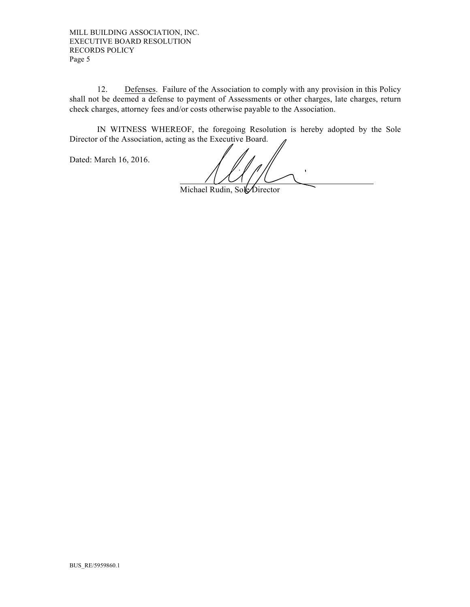MILL BUILDING ASSOCIATION, INC. EXECUTIVE BOARD RESOLUTION RECORDS POLICY Page 5

12. Defenses. Failure of the Association to comply with any provision in this Policy shall not be deemed a defense to payment of Assessments or other charges, late charges, return check charges, attorney fees and/or costs otherwise payable to the Association.

IN WITNESS WHEREOF, the foregoing Resolution is hereby adopted by the Sole Director of the Association, acting as the Executive Board.

Dated: March 16, 2016.

Michael Rudin, SoleDirector